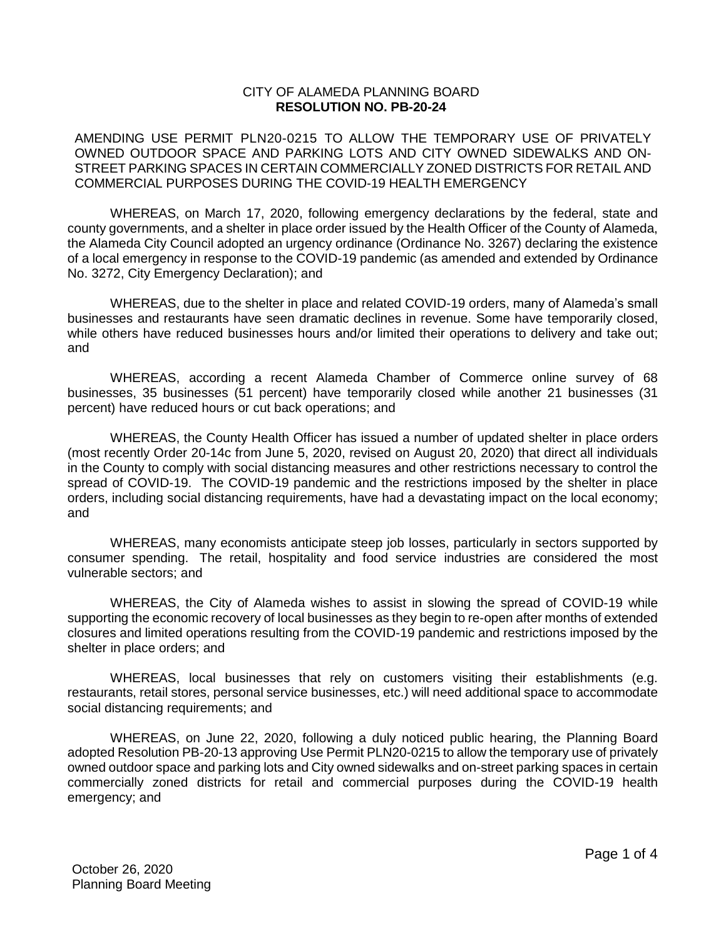## CITY OF ALAMEDA PLANNING BOARD **RESOLUTION NO. PB-20-24**

AMENDING USE PERMIT PLN20-0215 TO ALLOW THE TEMPORARY USE OF PRIVATELY OWNED OUTDOOR SPACE AND PARKING LOTS AND CITY OWNED SIDEWALKS AND ON-STREET PARKING SPACES IN CERTAIN COMMERCIALLY ZONED DISTRICTS FOR RETAIL AND COMMERCIAL PURPOSES DURING THE COVID-19 HEALTH EMERGENCY

WHEREAS, on March 17, 2020, following emergency declarations by the federal, state and county governments, and a shelter in place order issued by the Health Officer of the County of Alameda, the Alameda City Council adopted an urgency ordinance (Ordinance No. 3267) declaring the existence of a local emergency in response to the COVID-19 pandemic (as amended and extended by Ordinance No. 3272, City Emergency Declaration); and

WHEREAS, due to the shelter in place and related COVID-19 orders, many of Alameda's small businesses and restaurants have seen dramatic declines in revenue. Some have temporarily closed, while others have reduced businesses hours and/or limited their operations to delivery and take out; and

WHEREAS, according a recent Alameda Chamber of Commerce online survey of 68 businesses, 35 businesses (51 percent) have temporarily closed while another 21 businesses (31 percent) have reduced hours or cut back operations; and

WHEREAS, the County Health Officer has issued a number of updated shelter in place orders (most recently Order 20-14c from June 5, 2020, revised on August 20, 2020) that direct all individuals in the County to comply with social distancing measures and other restrictions necessary to control the spread of COVID-19. The COVID-19 pandemic and the restrictions imposed by the shelter in place orders, including social distancing requirements, have had a devastating impact on the local economy; and

WHEREAS, many economists anticipate steep job losses, particularly in sectors supported by consumer spending. The retail, hospitality and food service industries are considered the most vulnerable sectors; and

WHEREAS, the City of Alameda wishes to assist in slowing the spread of COVID-19 while supporting the economic recovery of local businesses as they begin to re-open after months of extended closures and limited operations resulting from the COVID-19 pandemic and restrictions imposed by the shelter in place orders; and

WHEREAS, local businesses that rely on customers visiting their establishments (e.g. restaurants, retail stores, personal service businesses, etc.) will need additional space to accommodate social distancing requirements; and

WHEREAS, on June 22, 2020, following a duly noticed public hearing, the Planning Board adopted Resolution PB-20-13 approving Use Permit PLN20-0215 to allow the temporary use of privately owned outdoor space and parking lots and City owned sidewalks and on-street parking spaces in certain commercially zoned districts for retail and commercial purposes during the COVID-19 health emergency; and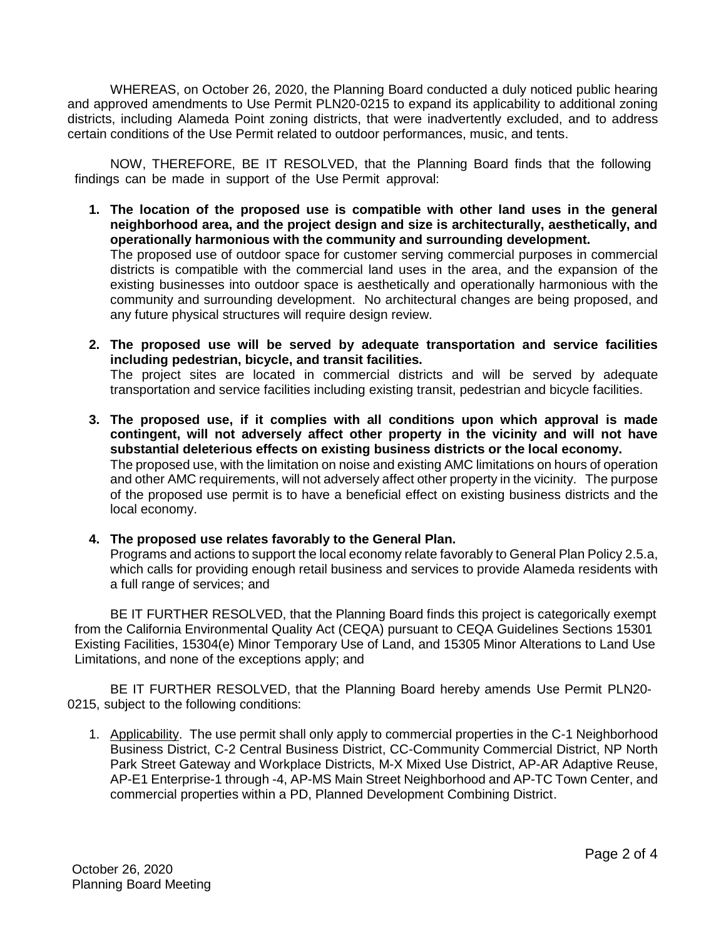WHEREAS, on October 26, 2020, the Planning Board conducted a duly noticed public hearing and approved amendments to Use Permit PLN20-0215 to expand its applicability to additional zoning districts, including Alameda Point zoning districts, that were inadvertently excluded, and to address certain conditions of the Use Permit related to outdoor performances, music, and tents.

NOW, THEREFORE, BE IT RESOLVED, that the Planning Board finds that the following findings can be made in support of the Use Permit approval:

- **1. The location of the proposed use is compatible with other land uses in the general neighborhood area, and the project design and size is architecturally, aesthetically, and operationally harmonious with the community and surrounding development.** The proposed use of outdoor space for customer serving commercial purposes in commercial districts is compatible with the commercial land uses in the area, and the expansion of the existing businesses into outdoor space is aesthetically and operationally harmonious with the community and surrounding development. No architectural changes are being proposed, and any future physical structures will require design review.
- **2. The proposed use will be served by adequate transportation and service facilities including pedestrian, bicycle, and transit facilities.** The project sites are located in commercial districts and will be served by adequate transportation and service facilities including existing transit, pedestrian and bicycle facilities.
- **3. The proposed use, if it complies with all conditions upon which approval is made contingent, will not adversely affect other property in the vicinity and will not have substantial deleterious effects on existing business districts or the local economy.** The proposed use, with the limitation on noise and existing AMC limitations on hours of operation and other AMC requirements, will not adversely affect other property in the vicinity. The purpose of the proposed use permit is to have a beneficial effect on existing business districts and the local economy.

## **4. The proposed use relates favorably to the General Plan.**

Programs and actions to support the local economy relate favorably to General Plan Policy 2.5.a, which calls for providing enough retail business and services to provide Alameda residents with a full range of services; and

BE IT FURTHER RESOLVED, that the Planning Board finds this project is categorically exempt from the California Environmental Quality Act (CEQA) pursuant to CEQA Guidelines Sections 15301 Existing Facilities, 15304(e) Minor Temporary Use of Land, and 15305 Minor Alterations to Land Use Limitations, and none of the exceptions apply; and

BE IT FURTHER RESOLVED, that the Planning Board hereby amends Use Permit PLN20- 0215, subject to the following conditions:

1. Applicability. The use permit shall only apply to commercial properties in the C-1 Neighborhood Business District, C-2 Central Business District, CC-Community Commercial District, NP North Park Street Gateway and Workplace Districts, M-X Mixed Use District, AP-AR Adaptive Reuse, AP-E1 Enterprise-1 through -4, AP-MS Main Street Neighborhood and AP-TC Town Center, and commercial properties within a PD, Planned Development Combining District.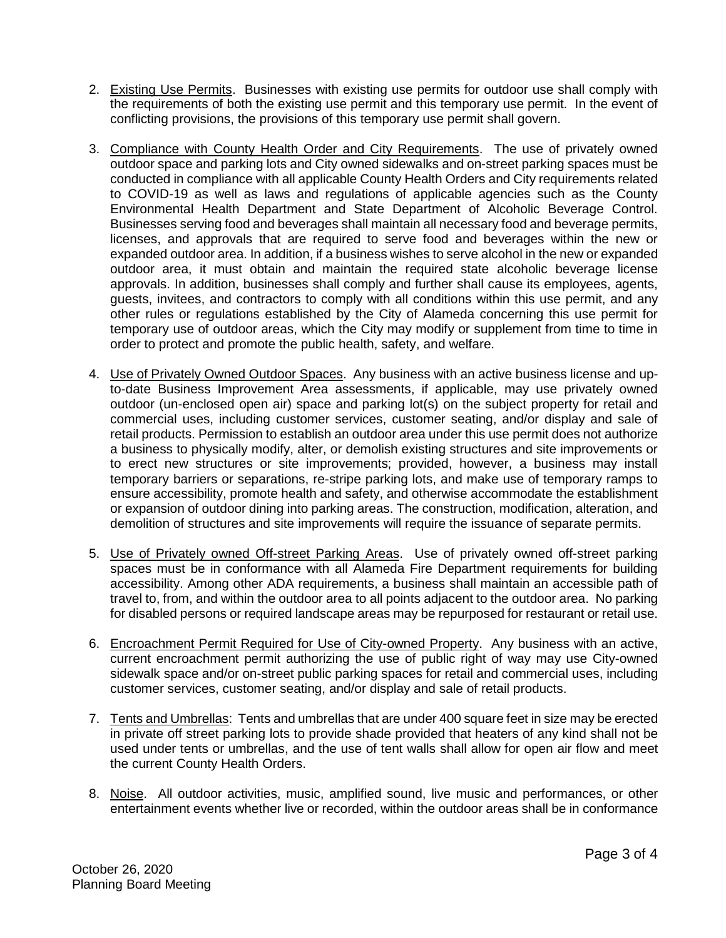- 2. Existing Use Permits. Businesses with existing use permits for outdoor use shall comply with the requirements of both the existing use permit and this temporary use permit. In the event of conflicting provisions, the provisions of this temporary use permit shall govern.
- 3. Compliance with County Health Order and City Requirements. The use of privately owned outdoor space and parking lots and City owned sidewalks and on-street parking spaces must be conducted in compliance with all applicable County Health Orders and City requirements related to COVID-19 as well as laws and regulations of applicable agencies such as the County Environmental Health Department and State Department of Alcoholic Beverage Control. Businesses serving food and beverages shall maintain all necessary food and beverage permits, licenses, and approvals that are required to serve food and beverages within the new or expanded outdoor area. In addition, if a business wishes to serve alcohol in the new or expanded outdoor area, it must obtain and maintain the required state alcoholic beverage license approvals. In addition, businesses shall comply and further shall cause its employees, agents, guests, invitees, and contractors to comply with all conditions within this use permit, and any other rules or regulations established by the City of Alameda concerning this use permit for temporary use of outdoor areas, which the City may modify or supplement from time to time in order to protect and promote the public health, safety, and welfare.
- 4. Use of Privately Owned Outdoor Spaces. Any business with an active business license and upto-date Business Improvement Area assessments, if applicable, may use privately owned outdoor (un-enclosed open air) space and parking lot(s) on the subject property for retail and commercial uses, including customer services, customer seating, and/or display and sale of retail products. Permission to establish an outdoor area under this use permit does not authorize a business to physically modify, alter, or demolish existing structures and site improvements or to erect new structures or site improvements; provided, however, a business may install temporary barriers or separations, re-stripe parking lots, and make use of temporary ramps to ensure accessibility, promote health and safety, and otherwise accommodate the establishment or expansion of outdoor dining into parking areas. The construction, modification, alteration, and demolition of structures and site improvements will require the issuance of separate permits.
- 5. Use of Privately owned Off-street Parking Areas. Use of privately owned off-street parking spaces must be in conformance with all Alameda Fire Department requirements for building accessibility. Among other ADA requirements, a business shall maintain an accessible path of travel to, from, and within the outdoor area to all points adjacent to the outdoor area. No parking for disabled persons or required landscape areas may be repurposed for restaurant or retail use.
- 6. Encroachment Permit Required for Use of City-owned Property. Any business with an active, current encroachment permit authorizing the use of public right of way may use City-owned sidewalk space and/or on-street public parking spaces for retail and commercial uses, including customer services, customer seating, and/or display and sale of retail products.
- 7. Tents and Umbrellas: Tents and umbrellas that are under 400 square feet in size may be erected in private off street parking lots to provide shade provided that heaters of any kind shall not be used under tents or umbrellas, and the use of tent walls shall allow for open air flow and meet the current County Health Orders.
- 8. Noise. All outdoor activities, music, amplified sound, live music and performances, or other entertainment events whether live or recorded, within the outdoor areas shall be in conformance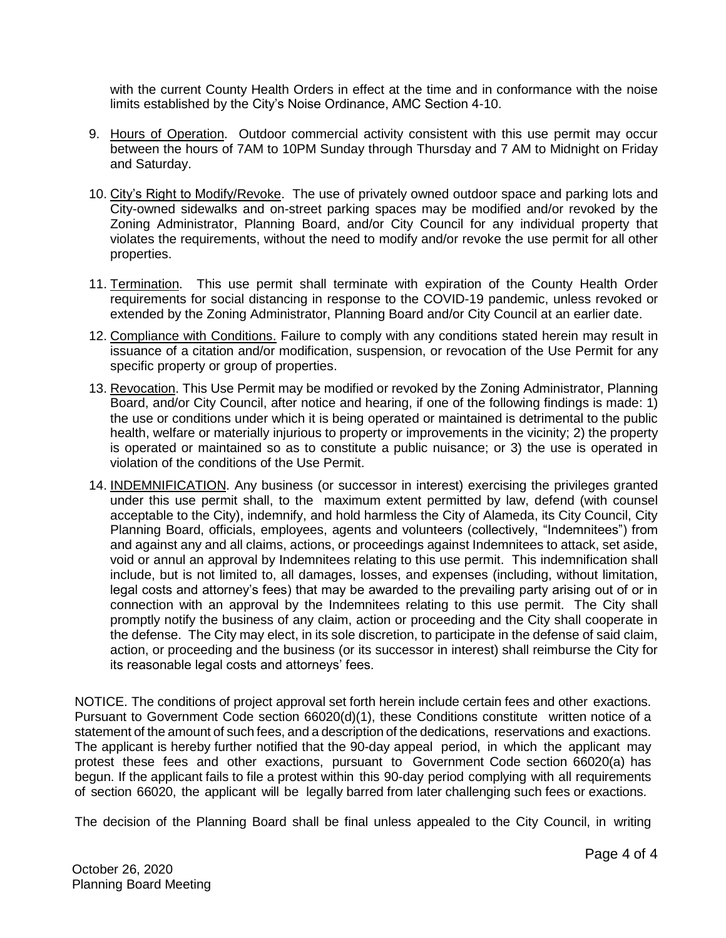with the current County Health Orders in effect at the time and in conformance with the noise limits established by the City's Noise Ordinance, AMC Section 4-10.

- 9. Hours of Operation. Outdoor commercial activity consistent with this use permit may occur between the hours of 7AM to 10PM Sunday through Thursday and 7 AM to Midnight on Friday and Saturday.
- 10. City's Right to Modify/Revoke. The use of privately owned outdoor space and parking lots and City-owned sidewalks and on-street parking spaces may be modified and/or revoked by the Zoning Administrator, Planning Board, and/or City Council for any individual property that violates the requirements, without the need to modify and/or revoke the use permit for all other properties.
- 11. Termination. This use permit shall terminate with expiration of the County Health Order requirements for social distancing in response to the COVID-19 pandemic, unless revoked or extended by the Zoning Administrator, Planning Board and/or City Council at an earlier date.
- 12. Compliance with Conditions. Failure to comply with any conditions stated herein may result in issuance of a citation and/or modification, suspension, or revocation of the Use Permit for any specific property or group of properties.
- 13. Revocation. This Use Permit may be modified or revoked by the Zoning Administrator, Planning Board, and/or City Council, after notice and hearing, if one of the following findings is made: 1) the use or conditions under which it is being operated or maintained is detrimental to the public health, welfare or materially injurious to property or improvements in the vicinity; 2) the property is operated or maintained so as to constitute a public nuisance; or 3) the use is operated in violation of the conditions of the Use Permit.
- 14. INDEMNIFICATION. Any business (or successor in interest) exercising the privileges granted under this use permit shall, to the maximum extent permitted by law, defend (with counsel acceptable to the City), indemnify, and hold harmless the City of Alameda, its City Council, City Planning Board, officials, employees, agents and volunteers (collectively, "Indemnitees") from and against any and all claims, actions, or proceedings against Indemnitees to attack, set aside, void or annul an approval by Indemnitees relating to this use permit. This indemnification shall include, but is not limited to, all damages, losses, and expenses (including, without limitation, legal costs and attorney's fees) that may be awarded to the prevailing party arising out of or in connection with an approval by the Indemnitees relating to this use permit. The City shall promptly notify the business of any claim, action or proceeding and the City shall cooperate in the defense. The City may elect, in its sole discretion, to participate in the defense of said claim, action, or proceeding and the business (or its successor in interest) shall reimburse the City for its reasonable legal costs and attorneys' fees.

NOTICE. The conditions of project approval set forth herein include certain fees and other exactions. Pursuant to Government Code section 66020(d)(1), these Conditions constitute written notice of a statement of the amount of such fees, and a description of the dedications, reservations and exactions. The applicant is hereby further notified that the 90-day appeal period, in which the applicant may protest these fees and other exactions, pursuant to Government Code section 66020(a) has begun. If the applicant fails to file a protest within this 90-day period complying with all requirements of section 66020, the applicant will be legally barred from later challenging such fees or exactions.

The decision of the Planning Board shall be final unless appealed to the City Council, in writing